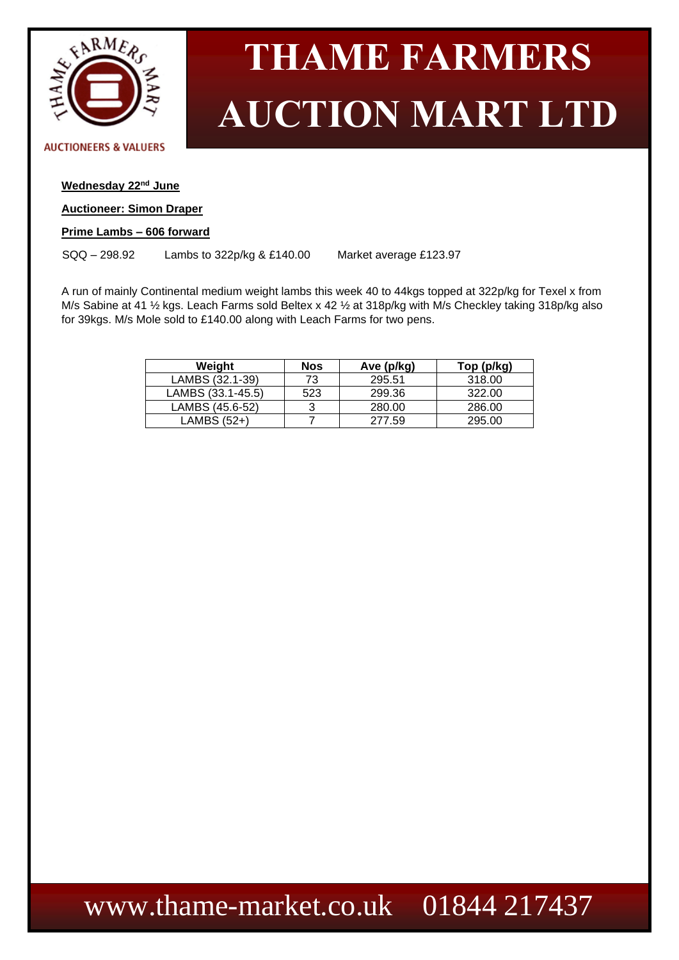

#### **AUCTIONEERS & VALUERS**

### **Wednesday 22nd June**

#### **Auctioneer: Simon Draper**

### **Prime Lambs – 606 forward**

SQQ – 298.92 Lambs to 322p/kg & £140.00 Market average £123.97

A run of mainly Continental medium weight lambs this week 40 to 44kgs topped at 322p/kg for Texel x from M/s Sabine at 41 ½ kgs. Leach Farms sold Beltex x 42 ½ at 318p/kg with M/s Checkley taking 318p/kg also for 39kgs. M/s Mole sold to £140.00 along with Leach Farms for two pens.

| Weight            | Nos | Ave (p/kg) | Top (p/kg) |
|-------------------|-----|------------|------------|
| LAMBS (32.1-39)   | 73  | 295.51     | 318.00     |
| LAMBS (33.1-45.5) | 523 | 299.36     | 322.00     |
| LAMBS (45.6-52)   | 3   | 280.00     | 286.00     |
| LAMBS (52+)       |     | 277.59     | 295.00     |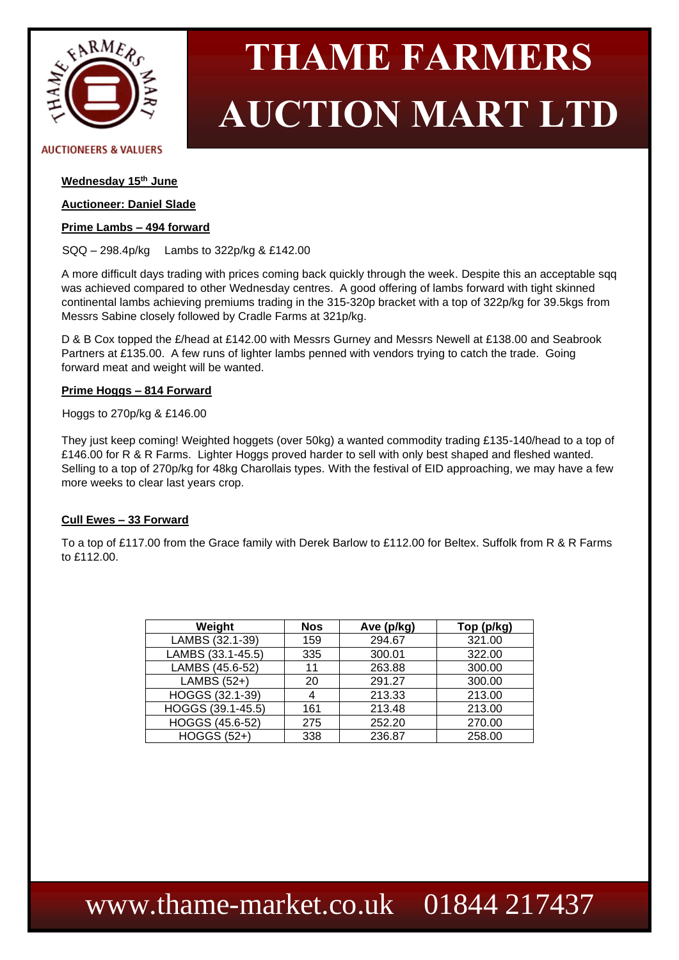

#### **AUCTIONEERS & VALUERS**

### **Wednesday 15th June**

#### **Auctioneer: Daniel Slade**

#### **Prime Lambs – 494 forward**

SQQ – 298.4p/kg Lambs to 322p/kg & £142.00

A more difficult days trading with prices coming back quickly through the week. Despite this an acceptable sqq was achieved compared to other Wednesday centres. A good offering of lambs forward with tight skinned continental lambs achieving premiums trading in the 315-320p bracket with a top of 322p/kg for 39.5kgs from Messrs Sabine closely followed by Cradle Farms at 321p/kg.

D & B Cox topped the £/head at £142.00 with Messrs Gurney and Messrs Newell at £138.00 and Seabrook Partners at £135.00. A few runs of lighter lambs penned with vendors trying to catch the trade. Going forward meat and weight will be wanted.

#### **Prime Hoggs – 814 Forward**

Hoggs to 270p/kg & £146.00

They just keep coming! Weighted hoggets (over 50kg) a wanted commodity trading £135-140/head to a top of £146.00 for R & R Farms. Lighter Hoggs proved harder to sell with only best shaped and fleshed wanted. Selling to a top of 270p/kg for 48kg Charollais types. With the festival of EID approaching, we may have a few more weeks to clear last years crop.

#### **Cull Ewes – 33 Forward**

To a top of £117.00 from the Grace family with Derek Barlow to £112.00 for Beltex. Suffolk from R & R Farms to £112.00.

| Weight                | <b>Nos</b> | Ave (p/kg) | Top (p/kg) |  |
|-----------------------|------------|------------|------------|--|
| LAMBS (32.1-39)       | 159        | 294.67     | 321.00     |  |
| LAMBS (33.1-45.5)     | 335        | 300.01     | 322.00     |  |
| LAMBS (45.6-52)       | 11         | 263.88     | 300.00     |  |
| LAMBS (52+)           | 20         | 291.27     | 300.00     |  |
| HOGGS (32.1-39)       | 4          | 213.33     | 213.00     |  |
| HOGGS $(39.1 - 45.5)$ | 161        | 213.48     | 213.00     |  |
| HOGGS (45.6-52)       | 275        | 252.20     | 270.00     |  |
| <b>HOGGS (52+)</b>    | 338        | 236.87     | 258.00     |  |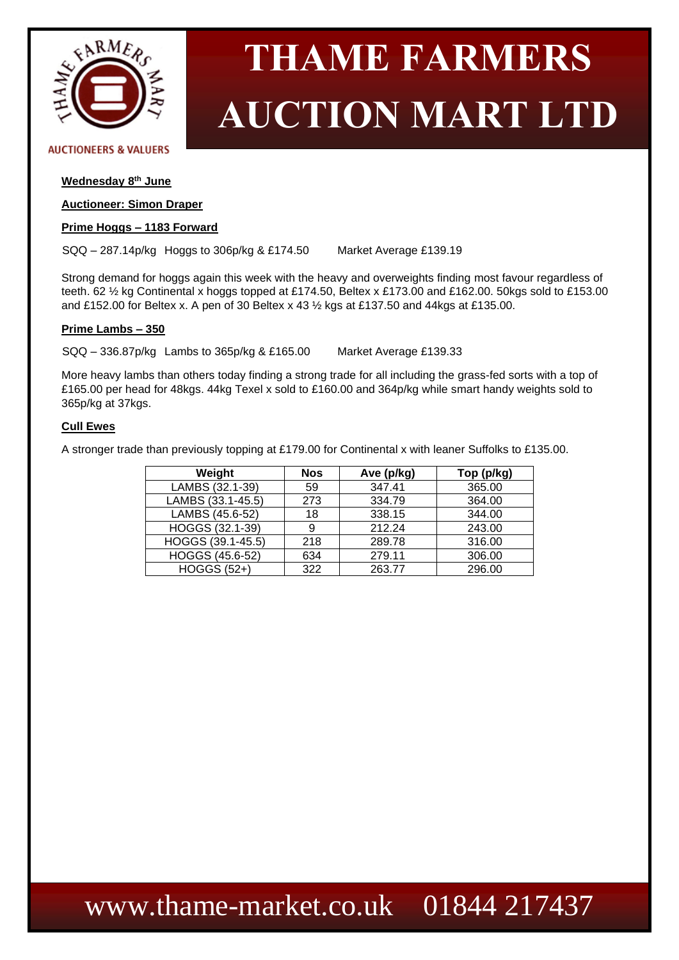

#### **AUCTIONEERS & VALUERS**

#### **Wednesday 8 th June**

#### **Auctioneer: Simon Draper**

#### **Prime Hoggs – 1183 Forward**

SQQ – 287.14p/kg Hoggs to 306p/kg & £174.50 Market Average £139.19

Strong demand for hoggs again this week with the heavy and overweights finding most favour regardless of teeth. 62 ½ kg Continental x hoggs topped at £174.50, Beltex x £173.00 and £162.00. 50kgs sold to £153.00 and £152.00 for Beltex x. A pen of 30 Beltex x 43 ½ kgs at £137.50 and 44kgs at £135.00.

#### **Prime Lambs – 350**

SQQ – 336.87p/kg Lambs to 365p/kg & £165.00 Market Average £139.33

More heavy lambs than others today finding a strong trade for all including the grass-fed sorts with a top of £165.00 per head for 48kgs. 44kg Texel x sold to £160.00 and 364p/kg while smart handy weights sold to 365p/kg at 37kgs.

#### **Cull Ewes**

A stronger trade than previously topping at £179.00 for Continental x with leaner Suffolks to £135.00.

| Weight             | <b>Nos</b> | Ave (p/kg) | Top (p/kg) |  |
|--------------------|------------|------------|------------|--|
| LAMBS (32.1-39)    | 59         | 347.41     | 365.00     |  |
| LAMBS (33.1-45.5)  | 273        | 334.79     | 364.00     |  |
| LAMBS (45.6-52)    | 18         | 338.15     | 344.00     |  |
| HOGGS (32.1-39)    | 9          | 212.24     | 243.00     |  |
| HOGGS (39.1-45.5)  | 218        | 289.78     | 316.00     |  |
| HOGGS (45.6-52)    | 634        | 279.11     | 306.00     |  |
| <b>HOGGS (52+)</b> | 322        | 263.77     | 296.00     |  |